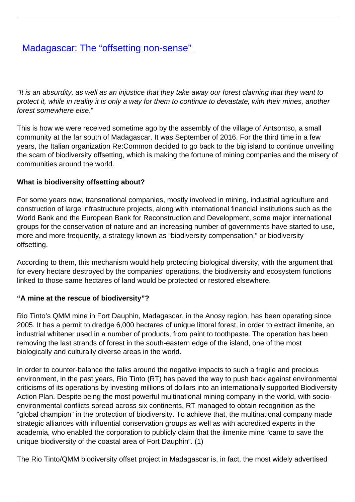# **[Madagascar: The "offsetting non-sense"](/bulletin-articles/madagascar-the-offsetting-non-sense)**

"It is an absurdity, as well as an injustice that they take away our forest claiming that they want to protect it, while in reality it is only a way for them to continue to devastate, with their mines, another forest somewhere else."

This is how we were received sometime ago by the assembly of the village of Antsontso, a small community at the far south of Madagascar. It was September of 2016. For the third time in a few years, the Italian organization Re:Common decided to go back to the big island to continue unveiling the scam of biodiversity offsetting, which is making the fortune of mining companies and the misery of communities around the world.

#### **What is biodiversity offsetting about?**

For some years now, transnational companies, mostly involved in mining, industrial agriculture and construction of large infrastructure projects, along with international financial institutions such as the World Bank and the European Bank for Reconstruction and Development, some major international groups for the conservation of nature and an increasing number of governments have started to use, more and more frequently, a strategy known as "biodiversity compensation," or biodiversity offsetting.

According to them, this mechanism would help protecting biological diversity, with the argument that for every hectare destroyed by the companies' operations, the biodiversity and ecosystem functions linked to those same hectares of land would be protected or restored elsewhere.

#### **"A mine at the rescue of biodiversity"?**

Rio Tinto's QMM mine in Fort Dauphin, Madagascar, in the Anosy region, has been operating since 2005. It has a permit to dredge 6,000 hectares of unique littoral forest, in order to extract ilmenite, an industrial whitener used in a number of products, from paint to toothpaste. The operation has been removing the last strands of forest in the south-eastern edge of the island, one of the most biologically and culturally diverse areas in the world.

In order to counter-balance the talks around the negative impacts to such a fragile and precious environment, in the past years, Rio Tinto (RT) has paved the way to push back against environmental criticisms of its operations by investing millions of dollars into an internationally supported Biodiversity Action Plan. Despite being the most powerful multinational mining company in the world, with socioenvironmental conflicts spread across six continents, RT managed to obtain recognition as the "global champion" in the protection of biodiversity. To achieve that, the multinational company made strategic alliances with influential conservation groups as well as with accredited experts in the academia, who enabled the corporation to publicly claim that the ilmenite mine "came to save the unique biodiversity of the coastal area of Fort Dauphin". (1)

The Rio Tinto/QMM biodiversity offset project in Madagascar is, in fact, the most widely advertised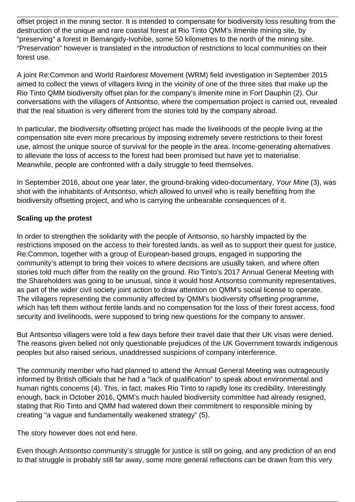offset project in the mining sector. It is intended to compensate for biodiversity loss resulting from the destruction of the unique and rare coastal forest at Rio Tinto QMM's ilmenite mining site, by "preserving" a forest in Bemangidy-Ivohibe, some 50 kilometres to the north of the mining site. "Preservation" however is translated in the introduction of restrictions to local communities on their forest use.

A joint Re:Common and World Rainforest Movement (WRM) field investigation in September 2015 aimed to collect the views of villagers living in the vicinity of one of the three sites that make up the Rio Tinto QMM biodiversity offset plan for the company's ilmenite mine in Fort Dauphin (2). Our conversations with the villagers of Antsontso, where the compensation project is carried out, revealed that the real situation is very different from the stories told by the company abroad.

In particular, the biodiversity offsetting project has made the livelihoods of the people living at the compensation site even more precarious by imposing extremely severe restrictions to their forest use, almost the unique source of survival for the people in the area. Income-generating alternatives to alleviate the loss of access to the forest had been promised but have yet to materialise. Meanwhile, people are confronted with a daily struggle to feed themselves.

In September 2016, about one year later, the ground-braking video-documentary, Your Mine (3), was shot with the inhabitants of Antsontso, which allowed to unveil who is really benefiting from the biodiversity offsetting project, and who is carrying the unbearable consequences of it.

## **Scaling up the protest**

In order to strengthen the solidarity with the people of Antsonso, so harshly impacted by the restrictions imposed on the access to their forested lands, as well as to support their quest for justice, Re:Common, together with a group of European-based groups, engaged in supporting the community's attempt to bring their voices to where decisions are usually taken, and where often stories told much differ from the reality on the ground. Rio Tinto's 2017 Annual General Meeting with the Shareholders was going to be unusual, since it would host Antsontso community representatives, as part of the wider civil society joint action to draw attention on QMM's social license to operate. The villagers representing the community affected by QMM's biodiversity offsetting programme, which has left them without fertile lands and no compensation for the loss of their forest access, food security and livelihoods, were supposed to bring new questions for the company to answer.

But Antsontso villagers were told a few days before their travel date that their UK visas were denied. The reasons given belied not only questionable prejudices of the UK Government towards indigenous peoples but also raised serious, unaddressed suspicions of company interference.

The community member who had planned to attend the Annual General Meeting was outrageously informed by British officials that he had a "lack of qualification" to speak about environmental and human rights concerns (4). This, in fact, makes Rio Tinto to rapidly lose its credibility. Interestingly enough, back in October 2016, QMM's much hauled biodiversity committee had already resigned, stating that Rio Tinto and QMM had watered down their commitment to responsible mining by creating "a vague and fundamentally weakened strategy" (5).

The story however does not end here.

Even though Antsontso community's struggle for justice is still on going, and any prediction of an end to that struggle is probably still far away, some more general reflections can be drawn from this very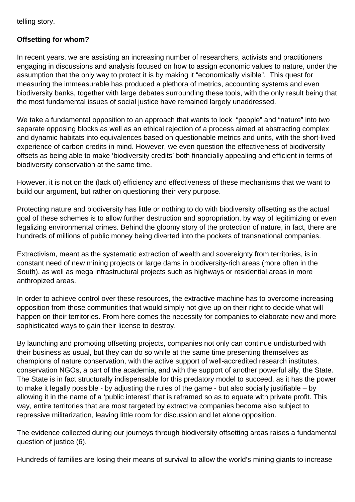telling story.

### **Offsetting for whom?**

In recent years, we are assisting an increasing number of researchers, activists and practitioners engaging in discussions and analysis focused on how to assign economic values to nature, under the assumption that the only way to protect it is by making it "economically visible". This quest for measuring the immeasurable has produced a plethora of metrics, accounting systems and even biodiversity banks, together with large debates surrounding these tools, with the only result being that the most fundamental issues of social justice have remained largely unaddressed.

We take a fundamental opposition to an approach that wants to lock "people" and "nature" into two separate opposing blocks as well as an ethical rejection of a process aimed at abstracting complex and dynamic habitats into equivalences based on questionable metrics and units, with the short-lived experience of carbon credits in mind. However, we even question the effectiveness of biodiversity offsets as being able to make 'biodiversity credits' both financially appealing and efficient in terms of biodiversity conservation at the same time.

However, it is not on the (lack of) efficiency and effectiveness of these mechanisms that we want to build our argument, but rather on questioning their very purpose.

Protecting nature and biodiversity has little or nothing to do with biodiversity offsetting as the actual goal of these schemes is to allow further destruction and appropriation, by way of legitimizing or even legalizing environmental crimes. Behind the gloomy story of the protection of nature, in fact, there are hundreds of millions of public money being diverted into the pockets of transnational companies.

Extractivism, meant as the systematic extraction of wealth and sovereignty from territories, is in constant need of new mining projects or large dams in biodiversity-rich areas (more often in the South), as well as mega infrastructural projects such as highways or residential areas in more anthropized areas.

In order to achieve control over these resources, the extractive machine has to overcome increasing opposition from those communities that would simply not give up on their right to decide what will happen on their territories. From here comes the necessity for companies to elaborate new and more sophisticated ways to gain their license to destroy.

By launching and promoting offsetting projects, companies not only can continue undisturbed with their business as usual, but they can do so while at the same time presenting themselves as champions of nature conservation, with the active support of well-accredited research institutes, conservation NGOs, a part of the academia, and with the support of another powerful ally, the State. The State is in fact structurally indispensable for this predatory model to succeed, as it has the power to make it legally possible - by adjusting the rules of the game - but also socially justifiable – by allowing it in the name of a 'public interest' that is reframed so as to equate with private profit. This way, entire territories that are most targeted by extractive companies become also subject to repressive militarization, leaving little room for discussion and let alone opposition.

The evidence collected during our journeys through biodiversity offsetting areas raises a fundamental question of justice (6).

Hundreds of families are losing their means of survival to allow the world's mining giants to increase